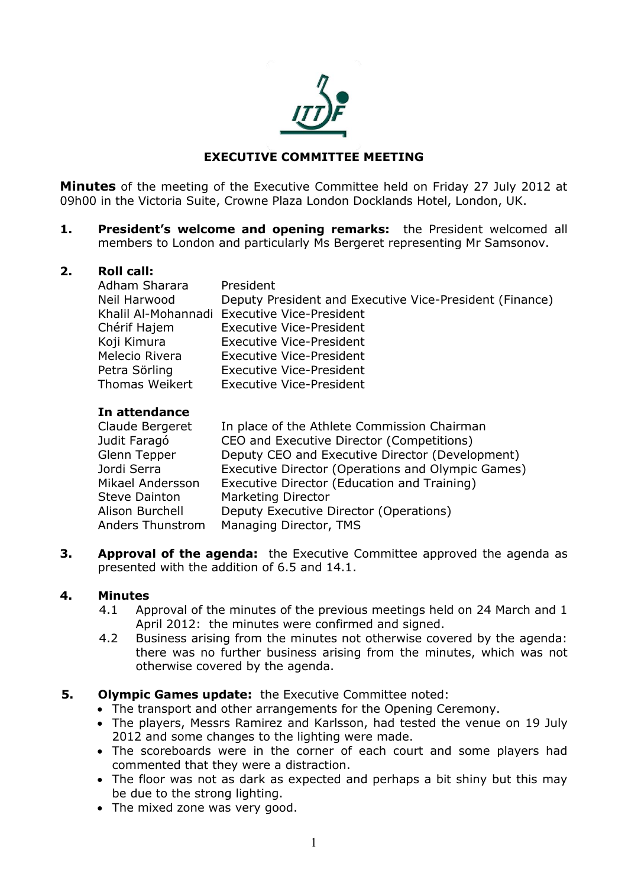

# **EXECUTIVE COMMITTEE MEETING**

**Minutes** of the meeting of the Executive Committee held on Friday 27 July 2012 at 09h00 in the Victoria Suite, Crowne Plaza London Docklands Hotel, London, UK.

**1. President's welcome and opening remarks:** the President welcomed all members to London and particularly Ms Bergeret representing Mr Samsonov.

### **2. Roll call:**

| Adham Sharara         | President                                               |
|-----------------------|---------------------------------------------------------|
| Neil Harwood          | Deputy President and Executive Vice-President (Finance) |
|                       | Khalil Al-Mohannadi Executive Vice-President            |
| Chérif Hajem          | <b>Executive Vice-President</b>                         |
| Koji Kimura           | <b>Executive Vice-President</b>                         |
| Melecio Rivera        | <b>Executive Vice-President</b>                         |
| Petra Sörling         | <b>Executive Vice-President</b>                         |
| <b>Thomas Weikert</b> | <b>Executive Vice-President</b>                         |

### **In attendance**

| Claude Bergeret      | In place of the Athlete Commission Chairman       |
|----------------------|---------------------------------------------------|
| Judit Faragó         | CEO and Executive Director (Competitions)         |
| Glenn Tepper         | Deputy CEO and Executive Director (Development)   |
| Jordi Serra          | Executive Director (Operations and Olympic Games) |
| Mikael Andersson     | Executive Director (Education and Training)       |
| <b>Steve Dainton</b> | <b>Marketing Director</b>                         |
| Alison Burchell      | Deputy Executive Director (Operations)            |
| Anders Thunstrom     | Managing Director, TMS                            |

**3. Approval of the agenda:** the Executive Committee approved the agenda as presented with the addition of 6.5 and 14.1.

### **4. Minutes**

- 4.1 Approval of the minutes of the previous meetings held on 24 March and 1 April 2012: the minutes were confirmed and signed.
- 4.2 Business arising from the minutes not otherwise covered by the agenda: there was no further business arising from the minutes, which was not otherwise covered by the agenda.

# **5. Olympic Games update:** the Executive Committee noted:

- The transport and other arrangements for the Opening Ceremony.
- The players, Messrs Ramirez and Karlsson, had tested the venue on 19 July 2012 and some changes to the lighting were made.
- The scoreboards were in the corner of each court and some players had commented that they were a distraction.
- The floor was not as dark as expected and perhaps a bit shiny but this may be due to the strong lighting.
- The mixed zone was very good.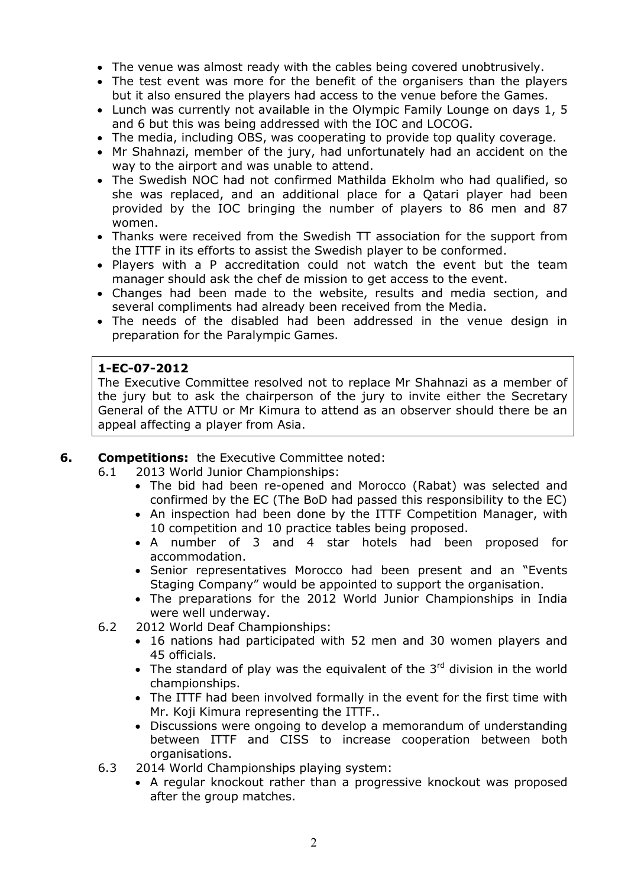- The venue was almost ready with the cables being covered unobtrusively.
- The test event was more for the benefit of the organisers than the players but it also ensured the players had access to the venue before the Games.
- Lunch was currently not available in the Olympic Family Lounge on days 1, 5 and 6 but this was being addressed with the IOC and LOCOG.
- The media, including OBS, was cooperating to provide top quality coverage.
- Mr Shahnazi, member of the jury, had unfortunately had an accident on the way to the airport and was unable to attend.
- The Swedish NOC had not confirmed Mathilda Ekholm who had qualified, so she was replaced, and an additional place for a Qatari player had been provided by the IOC bringing the number of players to 86 men and 87 women.
- Thanks were received from the Swedish TT association for the support from the ITTF in its efforts to assist the Swedish player to be conformed.
- Players with a P accreditation could not watch the event but the team manager should ask the chef de mission to get access to the event.
- Changes had been made to the website, results and media section, and several compliments had already been received from the Media.
- The needs of the disabled had been addressed in the venue design in preparation for the Paralympic Games.

## **1-EC-07-2012**

The Executive Committee resolved not to replace Mr Shahnazi as a member of the jury but to ask the chairperson of the jury to invite either the Secretary General of the ATTU or Mr Kimura to attend as an observer should there be an appeal affecting a player from Asia.

# **6. Competitions:** the Executive Committee noted:

- 6.1 2013 World Junior Championships:
	- The bid had been re-opened and Morocco (Rabat) was selected and confirmed by the EC (The BoD had passed this responsibility to the EC)
	- An inspection had been done by the ITTF Competition Manager, with 10 competition and 10 practice tables being proposed.
	- A number of 3 and 4 star hotels had been proposed for accommodation.
	- Senior representatives Morocco had been present and an "Events Staging Company" would be appointed to support the organisation.
	- The preparations for the 2012 World Junior Championships in India were well underway.
- 6.2 2012 World Deaf Championships:
	- 16 nations had participated with 52 men and 30 women players and 45 officials.
	- The standard of play was the equivalent of the  $3<sup>rd</sup>$  division in the world championships.
	- The ITTF had been involved formally in the event for the first time with Mr. Koji Kimura representing the ITTF..
	- Discussions were ongoing to develop a memorandum of understanding between ITTF and CISS to increase cooperation between both organisations.
- 6.3 2014 World Championships playing system:
	- A regular knockout rather than a progressive knockout was proposed after the group matches.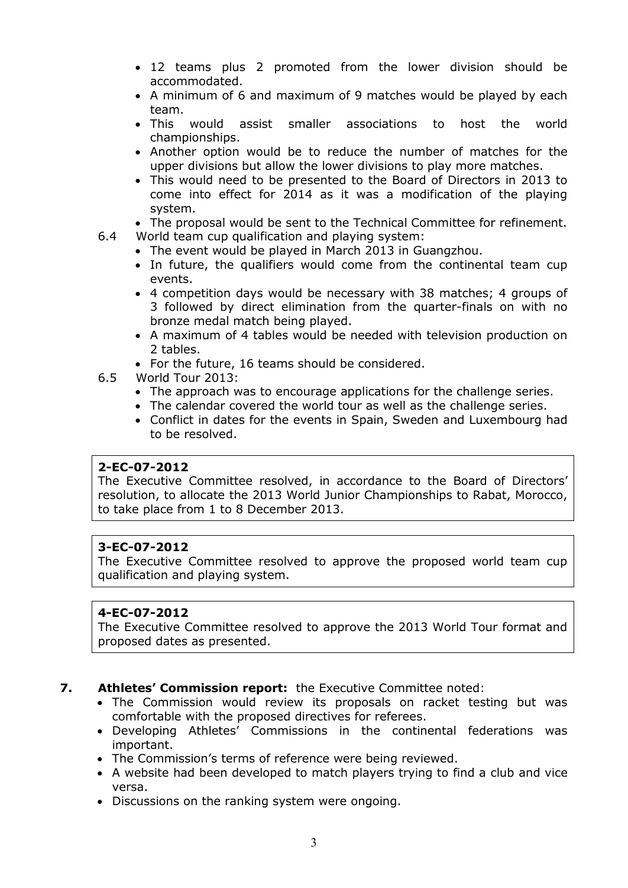- 12 teams plus 2 promoted from the lower division should be accommodated.
- A minimum of 6 and maximum of 9 matches would be played by each team.
- This would assist smaller associations to host the world championships.
- Another option would be to reduce the number of matches for the upper divisions but allow the lower divisions to play more matches.
- This would need to be presented to the Board of Directors in 2013 to come into effect for 2014 as it was a modification of the playing system.
- The proposal would be sent to the Technical Committee for refinement.
- 6.4 World team cup qualification and playing system:
	- The event would be played in March 2013 in Guangzhou.
		- In future, the qualifiers would come from the continental team cup events.
		- 4 competition days would be necessary with 38 matches; 4 groups of 3 followed by direct elimination from the quarter-finals on with no bronze medal match being played.
		- A maximum of 4 tables would be needed with television production on 2 tables.
		- For the future, 16 teams should be considered.
- 6.5 World Tour 2013:
	- The approach was to encourage applications for the challenge series.
	- The calendar covered the world tour as well as the challenge series.
	- Conflict in dates for the events in Spain, Sweden and Luxembourg had to be resolved.

### **2-EC-07-2012**

The Executive Committee resolved, in accordance to the Board of Directors' resolution, to allocate the 2013 World Junior Championships to Rabat, Morocco, to take place from 1 to 8 December 2013.

# **3-EC-07-2012**

The Executive Committee resolved to approve the proposed world team cup qualification and playing system.

# **4-EC-07-2012**

The Executive Committee resolved to approve the 2013 World Tour format and proposed dates as presented.

### **7. Athletes' Commission report:** the Executive Committee noted:

- The Commission would review its proposals on racket testing but was comfortable with the proposed directives for referees.
- Developing Athletes' Commissions in the continental federations was important.
- The Commission's terms of reference were being reviewed.
- A website had been developed to match players trying to find a club and vice versa.
- Discussions on the ranking system were ongoing.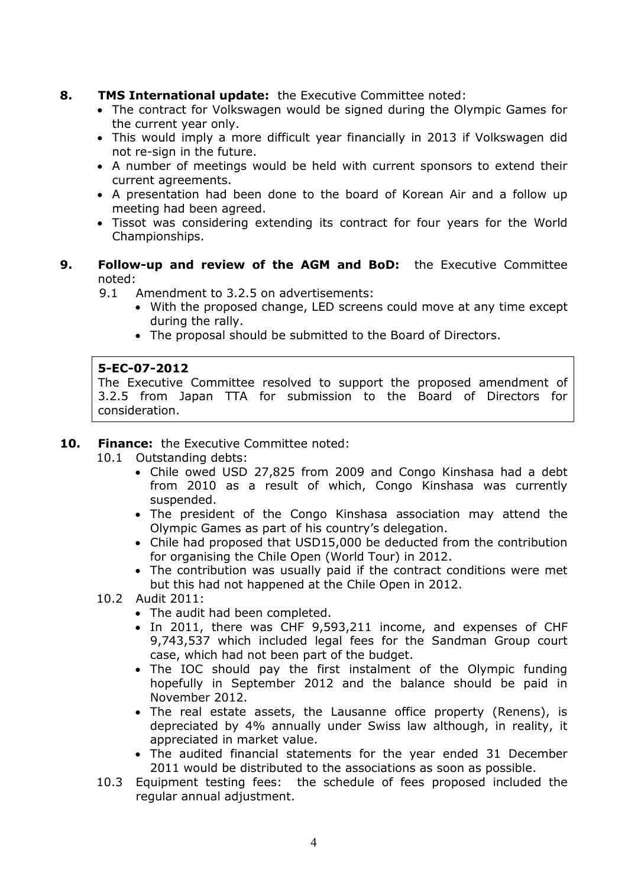# **8. TMS International update:** the Executive Committee noted:

- The contract for Volkswagen would be signed during the Olympic Games for the current year only.
- This would imply a more difficult year financially in 2013 if Volkswagen did not re-sign in the future.
- A number of meetings would be held with current sponsors to extend their current agreements.
- A presentation had been done to the board of Korean Air and a follow up meeting had been agreed.
- Tissot was considering extending its contract for four years for the World Championships.
- **9. Follow-up and review of the AGM and BoD:** the Executive Committee noted:

9.1 Amendment to 3.2.5 on advertisements:

- With the proposed change, LED screens could move at any time except during the rally.
- The proposal should be submitted to the Board of Directors.

## **5-EC-07-2012**

The Executive Committee resolved to support the proposed amendment of 3.2.5 from Japan TTA for submission to the Board of Directors for consideration.

# **10. Finance:** the Executive Committee noted:

- 10.1 Outstanding debts:
	- Chile owed USD 27,825 from 2009 and Congo Kinshasa had a debt from 2010 as a result of which, Congo Kinshasa was currently suspended.
	- The president of the Congo Kinshasa association may attend the Olympic Games as part of his country's delegation.
	- Chile had proposed that USD15,000 be deducted from the contribution for organising the Chile Open (World Tour) in 2012.
	- The contribution was usually paid if the contract conditions were met but this had not happened at the Chile Open in 2012.

# 10.2 Audit 2011:

- The audit had been completed.
- In 2011, there was CHF 9,593,211 income, and expenses of CHF 9,743,537 which included legal fees for the Sandman Group court case, which had not been part of the budget.
- The IOC should pay the first instalment of the Olympic funding hopefully in September 2012 and the balance should be paid in November 2012.
- The real estate assets, the Lausanne office property (Renens), is depreciated by 4% annually under Swiss law although, in reality, it appreciated in market value.
- The audited financial statements for the year ended 31 December 2011 would be distributed to the associations as soon as possible.
- 10.3 Equipment testing fees: the schedule of fees proposed included the regular annual adjustment.